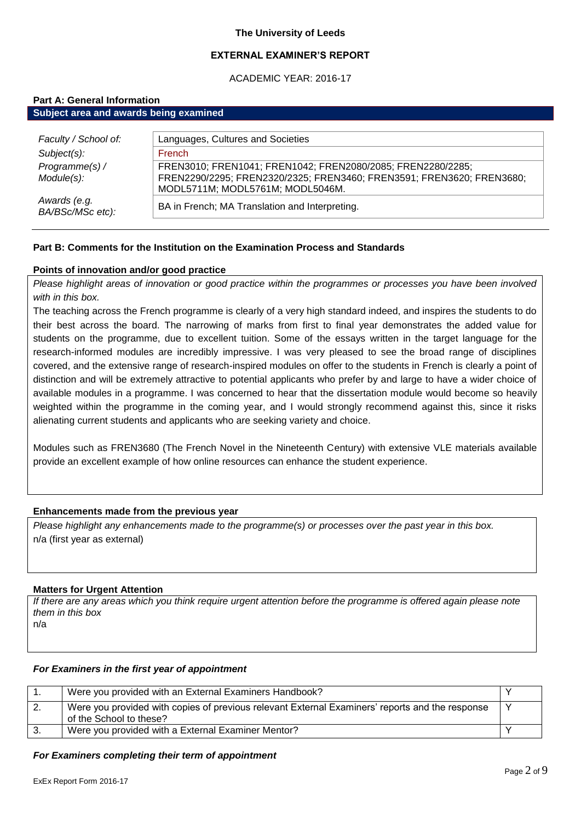## **EXTERNAL EXAMINER'S REPORT**

ACADEMIC YEAR: 2016-17

## **Part A: General Information**

| Subject area and awards being examined |                                                                       |  |
|----------------------------------------|-----------------------------------------------------------------------|--|
|                                        |                                                                       |  |
| Faculty / School of:                   | Languages, Cultures and Societies                                     |  |
| $Subject(s)$ :                         | <b>French</b>                                                         |  |
| Programme(s) /                         | FREN3010; FREN1041; FREN1042; FREN2080/2085; FREN2280/2285;           |  |
| Module(s):                             | FREN2290/2295; FREN2320/2325; FREN3460; FREN3591; FREN3620; FREN3680; |  |
|                                        | MODL5711M; MODL5761M; MODL5046M.                                      |  |
| Awards (e.g.<br>BA/BSc/MSc etc):       | BA in French; MA Translation and Interpreting.                        |  |
|                                        |                                                                       |  |

## **Part B: Comments for the Institution on the Examination Process and Standards**

## **Points of innovation and/or good practice**

*Please highlight areas of innovation or good practice within the programmes or processes you have been involved with in this box.*

The teaching across the French programme is clearly of a very high standard indeed, and inspires the students to do their best across the board. The narrowing of marks from first to final year demonstrates the added value for students on the programme, due to excellent tuition. Some of the essays written in the target language for the research-informed modules are incredibly impressive. I was very pleased to see the broad range of disciplines covered, and the extensive range of research-inspired modules on offer to the students in French is clearly a point of distinction and will be extremely attractive to potential applicants who prefer by and large to have a wider choice of available modules in a programme. I was concerned to hear that the dissertation module would become so heavily weighted within the programme in the coming year, and I would strongly recommend against this, since it risks alienating current students and applicants who are seeking variety and choice.

Modules such as FREN3680 (The French Novel in the Nineteenth Century) with extensive VLE materials available provide an excellent example of how online resources can enhance the student experience.

## **Enhancements made from the previous year**

*Please highlight any enhancements made to the programme(s) or processes over the past year in this box.* n/a (first year as external)

## **Matters for Urgent Attention**

*If there are any areas which you think require urgent attention before the programme is offered again please note them in this box* n/a

#### *For Examiners in the first year of appointment*

| Were you provided with an External Examiners Handbook?                                                                     |  |
|----------------------------------------------------------------------------------------------------------------------------|--|
| Were you provided with copies of previous relevant External Examiners' reports and the response<br>of the School to these? |  |
| Were you provided with a External Examiner Mentor?                                                                         |  |

#### *For Examiners completing their term of appointment*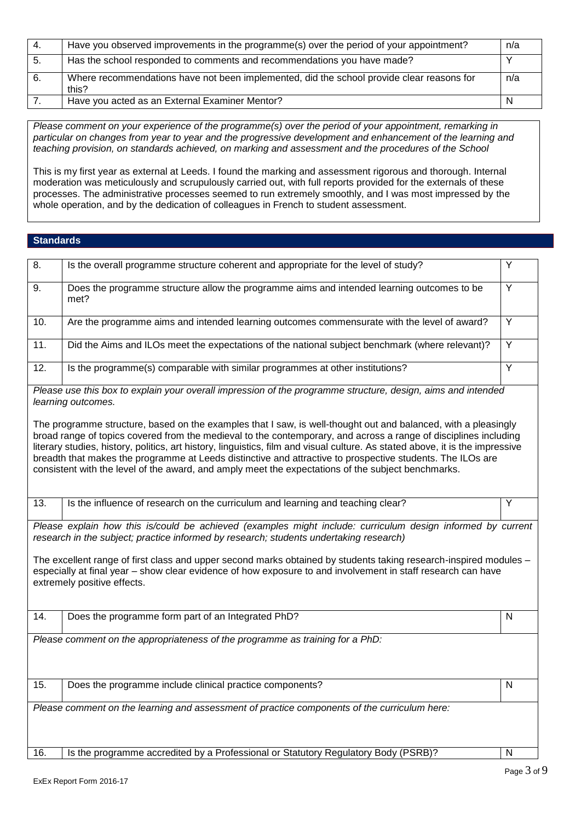| -4. | Have you observed improvements in the programme(s) over the period of your appointment?            | n/a |
|-----|----------------------------------------------------------------------------------------------------|-----|
| -5. | Has the school responded to comments and recommendations you have made?                            |     |
| 6.  | Where recommendations have not been implemented, did the school provide clear reasons for<br>this? | n/a |
|     | Have you acted as an External Examiner Mentor?                                                     |     |

*Please comment on your experience of the programme(s) over the period of your appointment, remarking in particular on changes from year to year and the progressive development and enhancement of the learning and teaching provision, on standards achieved, on marking and assessment and the procedures of the School*

This is my first year as external at Leeds. I found the marking and assessment rigorous and thorough. Internal moderation was meticulously and scrupulously carried out, with full reports provided for the externals of these processes. The administrative processes seemed to run extremely smoothly, and I was most impressed by the whole operation, and by the dedication of colleagues in French to student assessment.

## **Standards**

| $\overline{8}$ .                                                                             | Is the overall programme structure coherent and appropriate for the level of study?                                                                                                                                                                                                                                                                                                                                                                                                                                                                                                                                                                                                                                           | Υ              |
|----------------------------------------------------------------------------------------------|-------------------------------------------------------------------------------------------------------------------------------------------------------------------------------------------------------------------------------------------------------------------------------------------------------------------------------------------------------------------------------------------------------------------------------------------------------------------------------------------------------------------------------------------------------------------------------------------------------------------------------------------------------------------------------------------------------------------------------|----------------|
| 9.                                                                                           | Does the programme structure allow the programme aims and intended learning outcomes to be<br>met?                                                                                                                                                                                                                                                                                                                                                                                                                                                                                                                                                                                                                            | Υ              |
| 10.                                                                                          | Are the programme aims and intended learning outcomes commensurate with the level of award?                                                                                                                                                                                                                                                                                                                                                                                                                                                                                                                                                                                                                                   | Υ              |
| 11.                                                                                          | Did the Aims and ILOs meet the expectations of the national subject benchmark (where relevant)?                                                                                                                                                                                                                                                                                                                                                                                                                                                                                                                                                                                                                               | Y              |
| 12.                                                                                          | Is the programme(s) comparable with similar programmes at other institutions?                                                                                                                                                                                                                                                                                                                                                                                                                                                                                                                                                                                                                                                 | $\overline{Y}$ |
|                                                                                              | Please use this box to explain your overall impression of the programme structure, design, aims and intended<br>learning outcomes.<br>The programme structure, based on the examples that I saw, is well-thought out and balanced, with a pleasingly<br>broad range of topics covered from the medieval to the contemporary, and across a range of disciplines including<br>literary studies, history, politics, art history, linguistics, film and visual culture. As stated above, it is the impressive<br>breadth that makes the programme at Leeds distinctive and attractive to prospective students. The ILOs are<br>consistent with the level of the award, and amply meet the expectations of the subject benchmarks. |                |
| 13.                                                                                          | Is the influence of research on the curriculum and learning and teaching clear?                                                                                                                                                                                                                                                                                                                                                                                                                                                                                                                                                                                                                                               | Y              |
|                                                                                              | Please explain how this is/could be achieved (examples might include: curriculum design informed by current<br>research in the subject; practice informed by research; students undertaking research)                                                                                                                                                                                                                                                                                                                                                                                                                                                                                                                         |                |
|                                                                                              | The excellent range of first class and upper second marks obtained by students taking research-inspired modules -<br>especially at final year - show clear evidence of how exposure to and involvement in staff research can have<br>extremely positive effects.                                                                                                                                                                                                                                                                                                                                                                                                                                                              |                |
| 14.                                                                                          | Does the programme form part of an Integrated PhD?                                                                                                                                                                                                                                                                                                                                                                                                                                                                                                                                                                                                                                                                            | N              |
|                                                                                              | Please comment on the appropriateness of the programme as training for a PhD:                                                                                                                                                                                                                                                                                                                                                                                                                                                                                                                                                                                                                                                 |                |
| 15.                                                                                          | Does the programme include clinical practice components?                                                                                                                                                                                                                                                                                                                                                                                                                                                                                                                                                                                                                                                                      | N              |
| Please comment on the learning and assessment of practice components of the curriculum here: |                                                                                                                                                                                                                                                                                                                                                                                                                                                                                                                                                                                                                                                                                                                               |                |
| 16.                                                                                          | Is the programme accredited by a Professional or Statutory Regulatory Body (PSRB)?                                                                                                                                                                                                                                                                                                                                                                                                                                                                                                                                                                                                                                            | N              |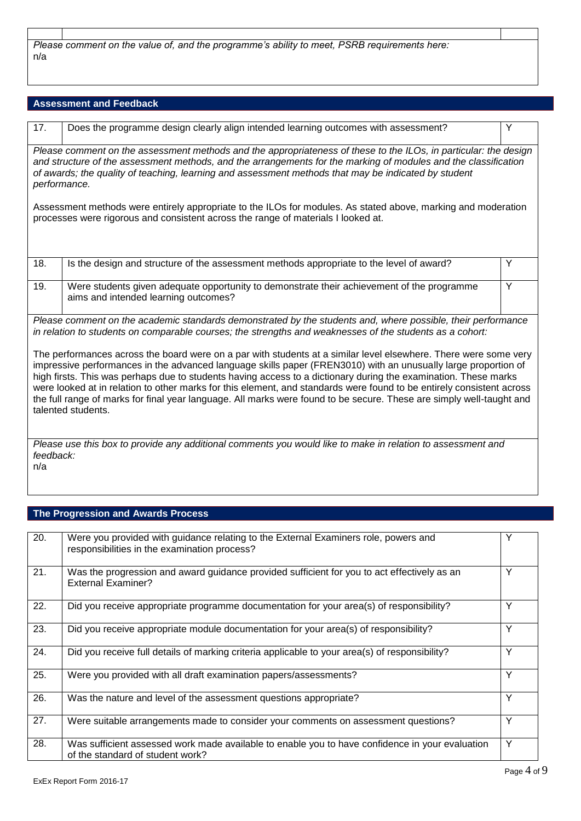*Please comment on the value of, and the programme's ability to meet, PSRB requirements here:* n/a

# **Assessment and Feedback**

| 17.                                                                                                                                                                                                                                                                                                                                                                                                                                                                                                                                                                                                                          | Does the programme design clearly align intended learning outcomes with assessment?                                                | Y |
|------------------------------------------------------------------------------------------------------------------------------------------------------------------------------------------------------------------------------------------------------------------------------------------------------------------------------------------------------------------------------------------------------------------------------------------------------------------------------------------------------------------------------------------------------------------------------------------------------------------------------|------------------------------------------------------------------------------------------------------------------------------------|---|
| Please comment on the assessment methods and the appropriateness of these to the ILOs, in particular: the design<br>and structure of the assessment methods, and the arrangements for the marking of modules and the classification<br>of awards; the quality of teaching, learning and assessment methods that may be indicated by student<br>performance.                                                                                                                                                                                                                                                                  |                                                                                                                                    |   |
| Assessment methods were entirely appropriate to the ILOs for modules. As stated above, marking and moderation<br>processes were rigorous and consistent across the range of materials I looked at.                                                                                                                                                                                                                                                                                                                                                                                                                           |                                                                                                                                    |   |
| 18.                                                                                                                                                                                                                                                                                                                                                                                                                                                                                                                                                                                                                          | Is the design and structure of the assessment methods appropriate to the level of award?                                           | Y |
| 19.                                                                                                                                                                                                                                                                                                                                                                                                                                                                                                                                                                                                                          | Were students given adequate opportunity to demonstrate their achievement of the programme<br>aims and intended learning outcomes? | Y |
| Please comment on the academic standards demonstrated by the students and, where possible, their performance<br>in relation to students on comparable courses; the strengths and weaknesses of the students as a cohort:                                                                                                                                                                                                                                                                                                                                                                                                     |                                                                                                                                    |   |
| The performances across the board were on a par with students at a similar level elsewhere. There were some very<br>impressive performances in the advanced language skills paper (FREN3010) with an unusually large proportion of<br>high firsts. This was perhaps due to students having access to a dictionary during the examination. These marks<br>were looked at in relation to other marks for this element, and standards were found to be entirely consistent across<br>the full range of marks for final year language. All marks were found to be secure. These are simply well-taught and<br>talented students. |                                                                                                                                    |   |
| Please use this box to provide any additional comments you would like to make in relation to assessment and<br>feedback:<br>n/a                                                                                                                                                                                                                                                                                                                                                                                                                                                                                              |                                                                                                                                    |   |

# **The Progression and Awards Process**

| $\overline{20}$ . | Were you provided with guidance relating to the External Examiners role, powers and<br>responsibilities in the examination process? | Υ |
|-------------------|-------------------------------------------------------------------------------------------------------------------------------------|---|
| 21.               | Was the progression and award guidance provided sufficient for you to act effectively as an<br><b>External Examiner?</b>            | Y |
| 22.               | Did you receive appropriate programme documentation for your area(s) of responsibility?                                             | Υ |
| 23.               | Did you receive appropriate module documentation for your area(s) of responsibility?                                                | Υ |
| 24.               | Did you receive full details of marking criteria applicable to your area(s) of responsibility?                                      | Υ |
| 25.               | Were you provided with all draft examination papers/assessments?                                                                    | Y |
| 26.               | Was the nature and level of the assessment questions appropriate?                                                                   | Y |
| 27.               | Were suitable arrangements made to consider your comments on assessment questions?                                                  | Y |
| 28.               | Was sufficient assessed work made available to enable you to have confidence in your evaluation<br>of the standard of student work? | Y |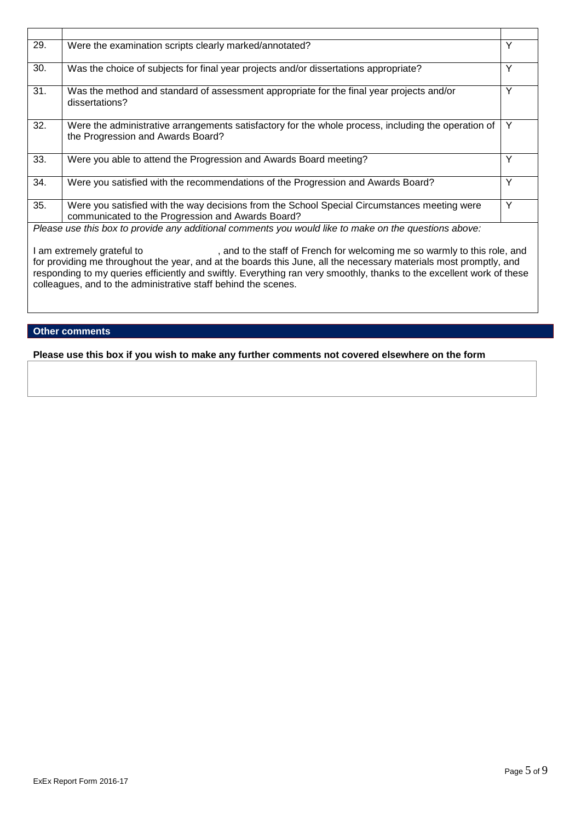| 29. | Were the examination scripts clearly marked/annotated?                                                                                            | Υ |
|-----|---------------------------------------------------------------------------------------------------------------------------------------------------|---|
| 30. | Was the choice of subjects for final year projects and/or dissertations appropriate?                                                              | Υ |
| 31. | Was the method and standard of assessment appropriate for the final year projects and/or<br>dissertations?                                        | Υ |
| 32. | Were the administrative arrangements satisfactory for the whole process, including the operation of<br>the Progression and Awards Board?          | Y |
| 33. | Were you able to attend the Progression and Awards Board meeting?                                                                                 | Υ |
| 34. | Were you satisfied with the recommendations of the Progression and Awards Board?                                                                  | Υ |
| 35. | Were you satisfied with the way decisions from the School Special Circumstances meeting were<br>communicated to the Progression and Awards Board? | Υ |
|     | Please use this box to provide any additional comments you would like to make on the questions above:                                             |   |

I am extremely grateful to  $\qquad \qquad$ , and to the staff of French for welcoming me so warmly to this role, and for providing me throughout the year, and at the boards this June, all the necessary materials most promptly, and responding to my queries efficiently and swiftly. Everything ran very smoothly, thanks to the excellent work of these colleagues, and to the administrative staff behind the scenes.

## **Other comments**

**Please use this box if you wish to make any further comments not covered elsewhere on the form**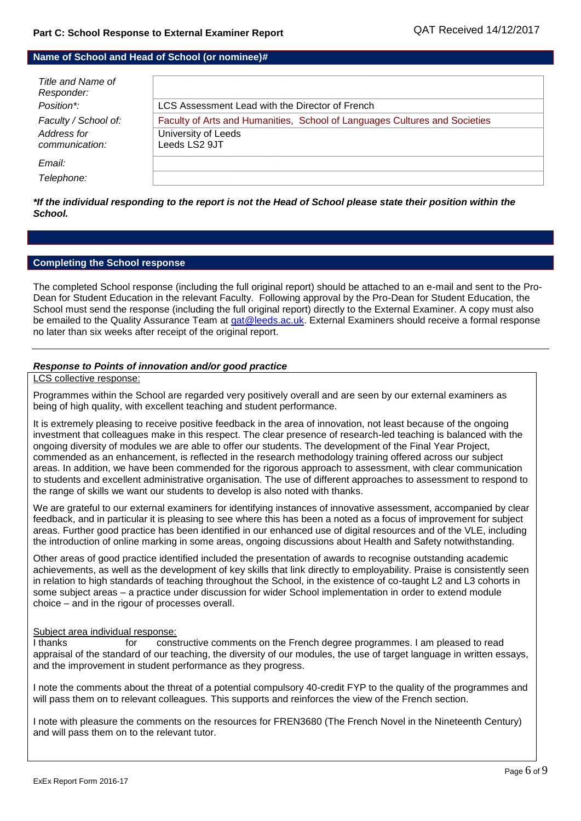## **Name of School and Head of School (or nominee)#**

| Title and Name of<br>Responder:<br>Position*: | LCS Assessment Lead with the Director of French                            |
|-----------------------------------------------|----------------------------------------------------------------------------|
| Faculty / School of:                          | Faculty of Arts and Humanities, School of Languages Cultures and Societies |
| Address for                                   | University of Leeds                                                        |
| communication:                                | Leeds LS2 9JT                                                              |
| Email:                                        |                                                                            |
| Telephone:                                    |                                                                            |

*\*If the individual responding to the report is not the Head of School please state their position within the School.*

## **Completing the School response**

The completed School response (including the full original report) should be attached to an e-mail and sent to the Pro-Dean for Student Education in the relevant Faculty. Following approval by the Pro-Dean for Student Education, the School must send the response (including the full original report) directly to the External Examiner. A copy must also be emailed to the Quality Assurance Team at gat@leeds.ac.uk. External Examiners should receive a formal response no later than six weeks after receipt of the original report.

## *Response to Points of innovation and/or good practice*

### LCS collective response:

Programmes within the School are regarded very positively overall and are seen by our external examiners as being of high quality, with excellent teaching and student performance.

It is extremely pleasing to receive positive feedback in the area of innovation, not least because of the ongoing investment that colleagues make in this respect. The clear presence of research-led teaching is balanced with the ongoing diversity of modules we are able to offer our students. The development of the Final Year Project, commended as an enhancement, is reflected in the research methodology training offered across our subject areas. In addition, we have been commended for the rigorous approach to assessment, with clear communication to students and excellent administrative organisation. The use of different approaches to assessment to respond to the range of skills we want our students to develop is also noted with thanks.

We are grateful to our external examiners for identifying instances of innovative assessment, accompanied by clear feedback, and in particular it is pleasing to see where this has been a noted as a focus of improvement for subject areas. Further good practice has been identified in our enhanced use of digital resources and of the VLE, including the introduction of online marking in some areas, ongoing discussions about Health and Safety notwithstanding.

Other areas of good practice identified included the presentation of awards to recognise outstanding academic achievements, as well as the development of key skills that link directly to employability. Praise is consistently seen in relation to high standards of teaching throughout the School, in the existence of co-taught L2 and L3 cohorts in some subject areas – a practice under discussion for wider School implementation in order to extend module choice – and in the rigour of processes overall.

#### Subject area individual response:

I thanks for constructive comments on the French degree programmes. I am pleased to read appraisal of the standard of our teaching, the diversity of our modules, the use of target language in written essays, and the improvement in student performance as they progress.

I note the comments about the threat of a potential compulsory 40-credit FYP to the quality of the programmes and will pass them on to relevant colleagues. This supports and reinforces the view of the French section.

I note with pleasure the comments on the resources for FREN3680 (The French Novel in the Nineteenth Century) and will pass them on to the relevant tutor.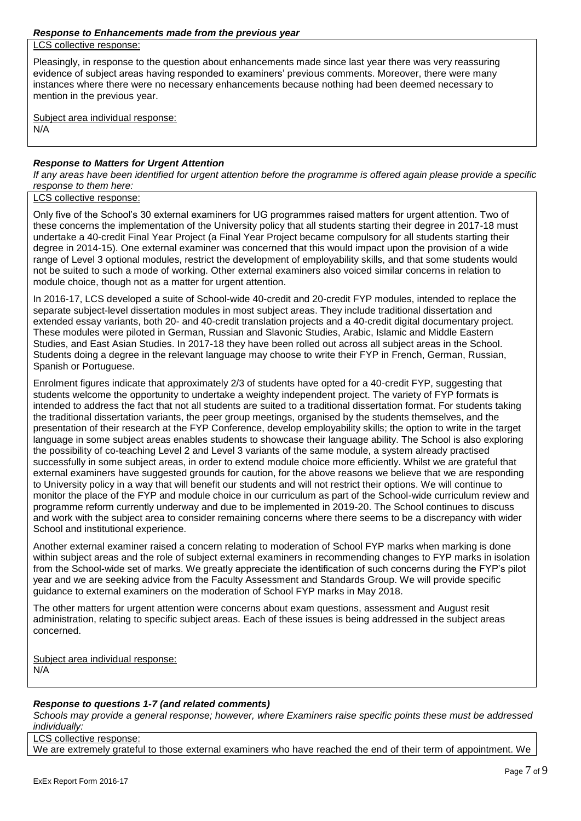LCS collective response:

Pleasingly, in response to the question about enhancements made since last year there was very reassuring evidence of subject areas having responded to examiners' previous comments. Moreover, there were many instances where there were no necessary enhancements because nothing had been deemed necessary to mention in the previous year.

Subject area individual response: N/A

## *Response to Matters for Urgent Attention*

*If any areas have been identified for urgent attention before the programme is offered again please provide a specific response to them here:*

#### LCS collective response:

Only five of the School's 30 external examiners for UG programmes raised matters for urgent attention. Two of these concerns the implementation of the University policy that all students starting their degree in 2017-18 must undertake a 40-credit Final Year Project (a Final Year Project became compulsory for all students starting their degree in 2014-15). One external examiner was concerned that this would impact upon the provision of a wide range of Level 3 optional modules, restrict the development of employability skills, and that some students would not be suited to such a mode of working. Other external examiners also voiced similar concerns in relation to module choice, though not as a matter for urgent attention.

In 2016-17, LCS developed a suite of School-wide 40-credit and 20-credit FYP modules, intended to replace the separate subject-level dissertation modules in most subject areas. They include traditional dissertation and extended essay variants, both 20- and 40-credit translation projects and a 40-credit digital documentary project. These modules were piloted in German, Russian and Slavonic Studies, Arabic, Islamic and Middle Eastern Studies, and East Asian Studies. In 2017-18 they have been rolled out across all subject areas in the School. Students doing a degree in the relevant language may choose to write their FYP in French, German, Russian, Spanish or Portuguese.

Enrolment figures indicate that approximately 2/3 of students have opted for a 40-credit FYP, suggesting that students welcome the opportunity to undertake a weighty independent project. The variety of FYP formats is intended to address the fact that not all students are suited to a traditional dissertation format. For students taking the traditional dissertation variants, the peer group meetings, organised by the students themselves, and the presentation of their research at the FYP Conference, develop employability skills; the option to write in the target language in some subject areas enables students to showcase their language ability. The School is also exploring the possibility of co-teaching Level 2 and Level 3 variants of the same module, a system already practised successfully in some subject areas, in order to extend module choice more efficiently. Whilst we are grateful that external examiners have suggested grounds for caution, for the above reasons we believe that we are responding to University policy in a way that will benefit our students and will not restrict their options. We will continue to monitor the place of the FYP and module choice in our curriculum as part of the School-wide curriculum review and programme reform currently underway and due to be implemented in 2019-20. The School continues to discuss and work with the subject area to consider remaining concerns where there seems to be a discrepancy with wider School and institutional experience.

Another external examiner raised a concern relating to moderation of School FYP marks when marking is done within subject areas and the role of subject external examiners in recommending changes to FYP marks in isolation from the School-wide set of marks. We greatly appreciate the identification of such concerns during the FYP's pilot year and we are seeking advice from the Faculty Assessment and Standards Group. We will provide specific guidance to external examiners on the moderation of School FYP marks in May 2018.

The other matters for urgent attention were concerns about exam questions, assessment and August resit administration, relating to specific subject areas. Each of these issues is being addressed in the subject areas concerned.

Subject area individual response: N/A

#### *Response to questions 1-7 (and related comments)*

*Schools may provide a general response; however, where Examiners raise specific points these must be addressed individually:*

LCS collective response:

We are extremely grateful to those external examiners who have reached the end of their term of appointment. We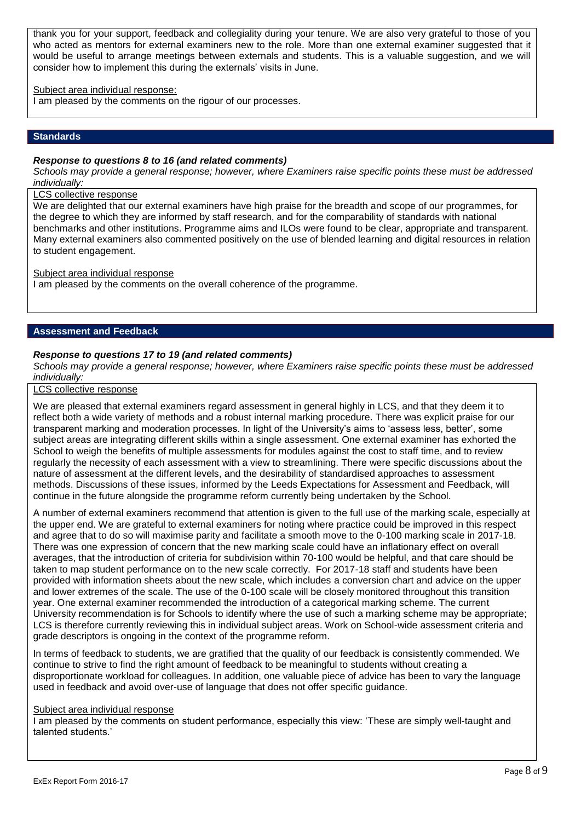thank you for your support, feedback and collegiality during your tenure. We are also very grateful to those of you who acted as mentors for external examiners new to the role. More than one external examiner suggested that it would be useful to arrange meetings between externals and students. This is a valuable suggestion, and we will consider how to implement this during the externals' visits in June.

## Subject area individual response:

I am pleased by the comments on the rigour of our processes.

## **Standards**

### *Response to questions 8 to 16 (and related comments)*

*Schools may provide a general response; however, where Examiners raise specific points these must be addressed individually:*

#### LCS collective response

We are delighted that our external examiners have high praise for the breadth and scope of our programmes, for the degree to which they are informed by staff research, and for the comparability of standards with national benchmarks and other institutions. Programme aims and ILOs were found to be clear, appropriate and transparent. Many external examiners also commented positively on the use of blended learning and digital resources in relation to student engagement.

#### Subject area individual response

I am pleased by the comments on the overall coherence of the programme.

#### **Assessment and Feedback**

## *Response to questions 17 to 19 (and related comments)*

*Schools may provide a general response; however, where Examiners raise specific points these must be addressed individually:*

## LCS collective response

We are pleased that external examiners regard assessment in general highly in LCS, and that they deem it to reflect both a wide variety of methods and a robust internal marking procedure. There was explicit praise for our transparent marking and moderation processes. In light of the University's aims to 'assess less, better', some subject areas are integrating different skills within a single assessment. One external examiner has exhorted the School to weigh the benefits of multiple assessments for modules against the cost to staff time, and to review regularly the necessity of each assessment with a view to streamlining. There were specific discussions about the nature of assessment at the different levels, and the desirability of standardised approaches to assessment methods. Discussions of these issues, informed by the Leeds Expectations for Assessment and Feedback, will continue in the future alongside the programme reform currently being undertaken by the School.

A number of external examiners recommend that attention is given to the full use of the marking scale, especially at the upper end. We are grateful to external examiners for noting where practice could be improved in this respect and agree that to do so will maximise parity and facilitate a smooth move to the 0-100 marking scale in 2017-18. There was one expression of concern that the new marking scale could have an inflationary effect on overall averages, that the introduction of criteria for subdivision within 70-100 would be helpful, and that care should be taken to map student performance on to the new scale correctly. For 2017-18 staff and students have been provided with information sheets about the new scale, which includes a conversion chart and advice on the upper and lower extremes of the scale. The use of the 0-100 scale will be closely monitored throughout this transition year. One external examiner recommended the introduction of a categorical marking scheme. The current University recommendation is for Schools to identify where the use of such a marking scheme may be appropriate; LCS is therefore currently reviewing this in individual subject areas. Work on School-wide assessment criteria and grade descriptors is ongoing in the context of the programme reform.

In terms of feedback to students, we are gratified that the quality of our feedback is consistently commended. We continue to strive to find the right amount of feedback to be meaningful to students without creating a disproportionate workload for colleagues. In addition, one valuable piece of advice has been to vary the language used in feedback and avoid over-use of language that does not offer specific guidance.

## Subject area individual response

I am pleased by the comments on student performance, especially this view: 'These are simply well-taught and talented students.'